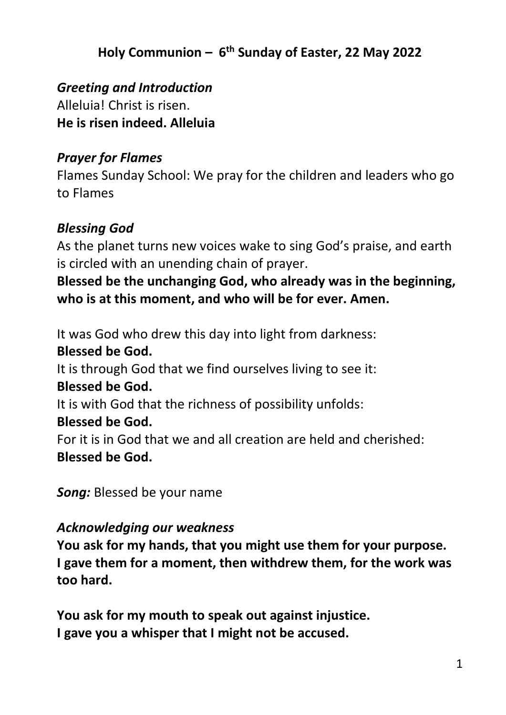# **Holy Communion – 6 th Sunday of Easter, 22 May 2022**

*Greeting and Introduction* Alleluia! Christ is risen. **He is risen indeed. Alleluia**

#### *Prayer for Flames*

Flames Sunday School: We pray for the children and leaders who go to Flames

#### *Blessing God*

As the planet turns new voices wake to sing God's praise, and earth is circled with an unending chain of prayer.

**Blessed be the unchanging God, who already was in the beginning, who is at this moment, and who will be for ever. Amen.**

It was God who drew this day into light from darkness: **Blessed be God.**

It is through God that we find ourselves living to see it:

#### **Blessed be God.**

It is with God that the richness of possibility unfolds:

#### **Blessed be God.**

For it is in God that we and all creation are held and cherished: **Blessed be God.**

*Song:* Blessed be your name

#### *Acknowledging our weakness*

**You ask for my hands, that you might use them for your purpose. I gave them for a moment, then withdrew them, for the work was too hard.**

**You ask for my mouth to speak out against injustice. I gave you a whisper that I might not be accused.**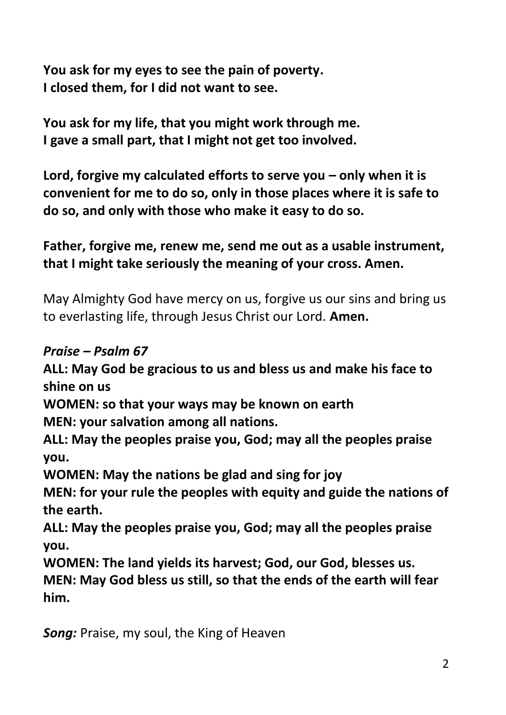**You ask for my eyes to see the pain of poverty. I closed them, for I did not want to see.**

**You ask for my life, that you might work through me. I gave a small part, that I might not get too involved.**

**Lord, forgive my calculated efforts to serve you – only when it is convenient for me to do so, only in those places where it is safe to do so, and only with those who make it easy to do so.**

# **Father, forgive me, renew me, send me out as a usable instrument, that I might take seriously the meaning of your cross. Amen.**

May Almighty God have mercy on us, forgive us our sins and bring us to everlasting life, through Jesus Christ our Lord. **Amen.**

## *Praise – Psalm 67*

**ALL: May God be gracious to us and bless us and make his face to shine on us**

**WOMEN: so that your ways may be known on earth**

**MEN: your salvation among all nations.**

**ALL: May the peoples praise you, God; may all the peoples praise you.**

**WOMEN: May the nations be glad and sing for joy**

**MEN: for your rule the peoples with equity and guide the nations of the earth.**

**ALL: May the peoples praise you, God; may all the peoples praise you.**

**WOMEN: The land yields its harvest; God, our God, blesses us. MEN: May God bless us still, so that the ends of the earth will fear him.**

*Song:* Praise, my soul, the King of Heaven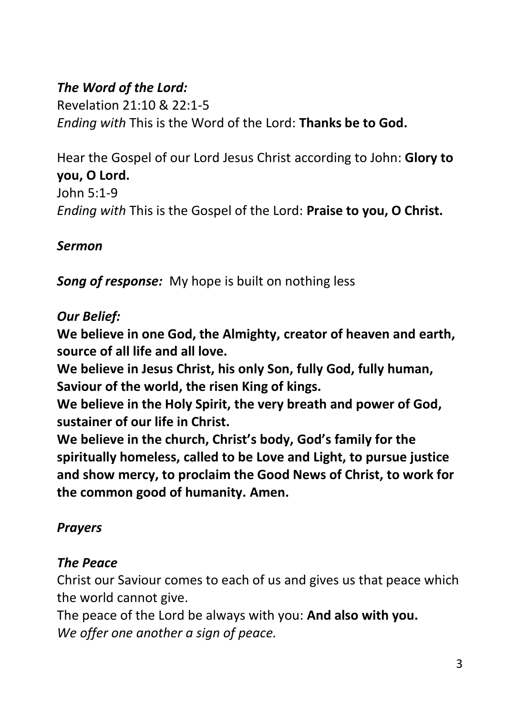# *The Word of the Lord:*

Revelation 21:10 & 22:1-5 *Ending with* This is the Word of the Lord: **Thanks be to God.**

Hear the Gospel of our Lord Jesus Christ according to John: **Glory to you, O Lord.** John 5:1-9 *Ending with* This is the Gospel of the Lord: **Praise to you, O Christ.**

## *Sermon*

*Song of response:* My hope is built on nothing less

## *Our Belief:*

**We believe in one God, the Almighty, creator of heaven and earth, source of all life and all love.**

**We believe in Jesus Christ, his only Son, fully God, fully human, Saviour of the world, the risen King of kings.**

**We believe in the Holy Spirit, the very breath and power of God, sustainer of our life in Christ.**

**We believe in the church, Christ's body, God's family for the spiritually homeless, called to be Love and Light, to pursue justice and show mercy, to proclaim the Good News of Christ, to work for the common good of humanity. Amen.**

## *Prayers*

## *The Peace*

Christ our Saviour comes to each of us and gives us that peace which the world cannot give.

The peace of the Lord be always with you: **And also with you.** *We offer one another a sign of peace.*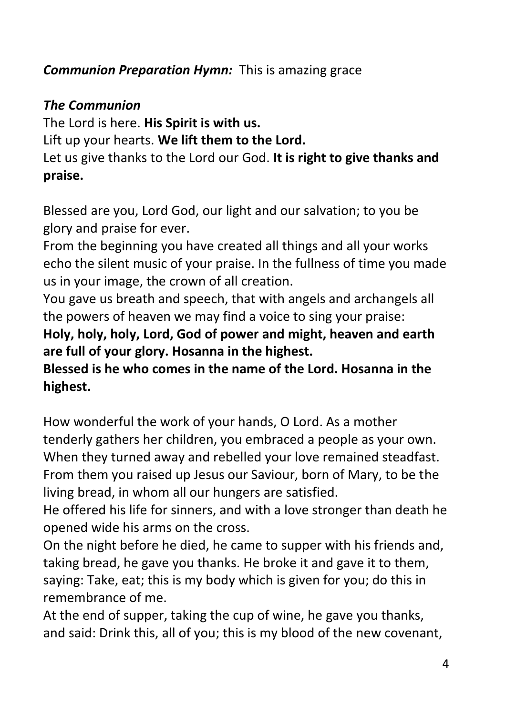# *Communion Preparation Hymn:* This is amazing grace

## *The Communion*

The Lord is here. **His Spirit is with us.** Lift up your hearts. **We lift them to the Lord.** Let us give thanks to the Lord our God. **It is right to give thanks and praise.**

Blessed are you, Lord God, our light and our salvation; to you be glory and praise for ever.

From the beginning you have created all things and all your works echo the silent music of your praise. In the fullness of time you made us in your image, the crown of all creation.

You gave us breath and speech, that with angels and archangels all the powers of heaven we may find a voice to sing your praise:

**Holy, holy, holy, Lord, God of power and might, heaven and earth are full of your glory. Hosanna in the highest.**

**Blessed is he who comes in the name of the Lord. Hosanna in the highest.**

How wonderful the work of your hands, O Lord. As a mother tenderly gathers her children, you embraced a people as your own. When they turned away and rebelled your love remained steadfast. From them you raised up Jesus our Saviour, born of Mary, to be the living bread, in whom all our hungers are satisfied.

He offered his life for sinners, and with a love stronger than death he opened wide his arms on the cross.

On the night before he died, he came to supper with his friends and, taking bread, he gave you thanks. He broke it and gave it to them, saying: Take, eat; this is my body which is given for you; do this in remembrance of me.

At the end of supper, taking the cup of wine, he gave you thanks, and said: Drink this, all of you; this is my blood of the new covenant,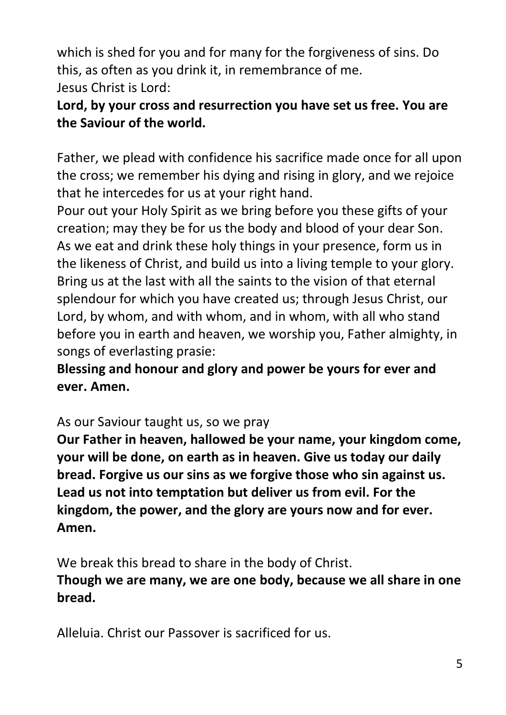which is shed for you and for many for the forgiveness of sins. Do this, as often as you drink it, in remembrance of me. Jesus Christ is Lord:

# **Lord, by your cross and resurrection you have set us free. You are the Saviour of the world.**

Father, we plead with confidence his sacrifice made once for all upon the cross; we remember his dying and rising in glory, and we rejoice that he intercedes for us at your right hand.

Pour out your Holy Spirit as we bring before you these gifts of your creation; may they be for us the body and blood of your dear Son. As we eat and drink these holy things in your presence, form us in the likeness of Christ, and build us into a living temple to your glory. Bring us at the last with all the saints to the vision of that eternal splendour for which you have created us; through Jesus Christ, our Lord, by whom, and with whom, and in whom, with all who stand before you in earth and heaven, we worship you, Father almighty, in songs of everlasting prasie:

**Blessing and honour and glory and power be yours for ever and ever. Amen.**

As our Saviour taught us, so we pray

**Our Father in heaven, hallowed be your name, your kingdom come, your will be done, on earth as in heaven. Give us today our daily bread. Forgive us our sins as we forgive those who sin against us. Lead us not into temptation but deliver us from evil. For the kingdom, the power, and the glory are yours now and for ever. Amen.**

We break this bread to share in the body of Christ. **Though we are many, we are one body, because we all share in one bread.**

Alleluia. Christ our Passover is sacrificed for us.